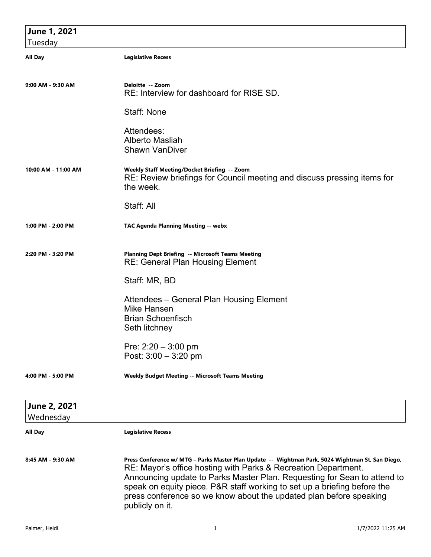| June 1, 2021        |                                                                                                                                                                                                                                                                                                                                                                                                                      |
|---------------------|----------------------------------------------------------------------------------------------------------------------------------------------------------------------------------------------------------------------------------------------------------------------------------------------------------------------------------------------------------------------------------------------------------------------|
| Tuesday             |                                                                                                                                                                                                                                                                                                                                                                                                                      |
| <b>All Day</b>      | <b>Legislative Recess</b>                                                                                                                                                                                                                                                                                                                                                                                            |
| 9:00 AM - 9:30 AM   | Deloitte -- Zoom<br>RE: Interview for dashboard for RISE SD.                                                                                                                                                                                                                                                                                                                                                         |
|                     | Staff: None                                                                                                                                                                                                                                                                                                                                                                                                          |
|                     | Attendees:<br>Alberto Masliah<br><b>Shawn VanDiver</b>                                                                                                                                                                                                                                                                                                                                                               |
| 10:00 AM - 11:00 AM | Weekly Staff Meeting/Docket Briefing -- Zoom<br>RE: Review briefings for Council meeting and discuss pressing items for<br>the week.                                                                                                                                                                                                                                                                                 |
|                     | Staff: All                                                                                                                                                                                                                                                                                                                                                                                                           |
| 1:00 PM - 2:00 PM   | TAC Agenda Planning Meeting -- webx                                                                                                                                                                                                                                                                                                                                                                                  |
| 2:20 PM - 3:20 PM   | <b>Planning Dept Briefing -- Microsoft Teams Meeting</b><br><b>RE: General Plan Housing Element</b>                                                                                                                                                                                                                                                                                                                  |
|                     | Staff: MR, BD                                                                                                                                                                                                                                                                                                                                                                                                        |
|                     | Attendees – General Plan Housing Element<br>Mike Hansen                                                                                                                                                                                                                                                                                                                                                              |
|                     | <b>Brian Schoenfisch</b>                                                                                                                                                                                                                                                                                                                                                                                             |
|                     | Seth litchney                                                                                                                                                                                                                                                                                                                                                                                                        |
|                     | Pre: $2:20 - 3:00$ pm                                                                                                                                                                                                                                                                                                                                                                                                |
|                     | Post: $3:00 - 3:20$ pm                                                                                                                                                                                                                                                                                                                                                                                               |
| 4:00 PM - 5:00 PM   | <b>Weekly Budget Meeting -- Microsoft Teams Meeting</b>                                                                                                                                                                                                                                                                                                                                                              |
| June 2, 2021        |                                                                                                                                                                                                                                                                                                                                                                                                                      |
| Wednesday           |                                                                                                                                                                                                                                                                                                                                                                                                                      |
| All Day             | <b>Legislative Recess</b>                                                                                                                                                                                                                                                                                                                                                                                            |
| 8:45 AM - 9:30 AM   | Press Conference w/ MTG - Parks Master Plan Update -- Wightman Park, 5024 Wightman St, San Diego,<br>RE: Mayor's office hosting with Parks & Recreation Department.<br>Announcing update to Parks Master Plan. Requesting for Sean to attend to<br>speak on equity piece. P&R staff working to set up a briefing before the<br>press conference so we know about the updated plan before speaking<br>publicly on it. |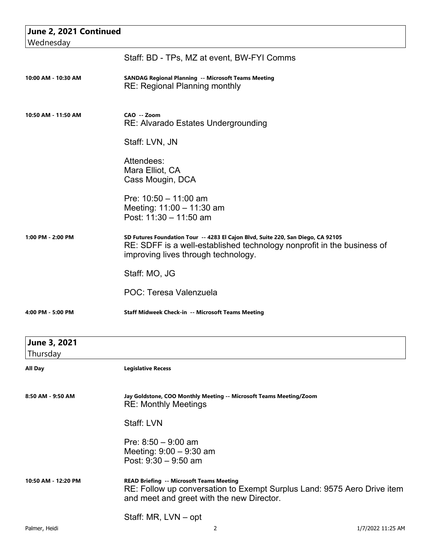| June 2, 2021 Continued   |                                                                                                                                                                                                   |
|--------------------------|---------------------------------------------------------------------------------------------------------------------------------------------------------------------------------------------------|
| Wednesday                |                                                                                                                                                                                                   |
|                          | Staff: BD - TPs, MZ at event, BW-FYI Comms                                                                                                                                                        |
| 10:00 AM - 10:30 AM      | <b>SANDAG Regional Planning -- Microsoft Teams Meeting</b><br><b>RE: Regional Planning monthly</b>                                                                                                |
| 10:50 AM - 11:50 AM      | CAO -- Zoom<br>RE: Alvarado Estates Undergrounding                                                                                                                                                |
|                          | Staff: LVN, JN                                                                                                                                                                                    |
|                          | Attendees:<br>Mara Elliot, CA<br>Cass Mougin, DCA                                                                                                                                                 |
|                          | Pre: $10:50 - 11:00$ am<br>Meeting: 11:00 - 11:30 am<br>Post: 11:30 - 11:50 am                                                                                                                    |
| 1:00 PM - 2:00 PM        | SD Futures Foundation Tour -- 4283 El Cajon Blvd, Suite 220, San Diego, CA 92105<br>RE: SDFF is a well-established technology nonprofit in the business of<br>improving lives through technology. |
|                          | Staff: MO, JG                                                                                                                                                                                     |
|                          | POC: Teresa Valenzuela                                                                                                                                                                            |
| 4:00 PM - 5:00 PM        | Staff Midweek Check-in -- Microsoft Teams Meeting                                                                                                                                                 |
| June 3, 2021<br>Thursday |                                                                                                                                                                                                   |
| All Day                  | <b>Legislative Recess</b>                                                                                                                                                                         |
| 8:50 AM - 9:50 AM        | Jay Goldstone, COO Monthly Meeting -- Microsoft Teams Meeting/Zoom<br><b>RE: Monthly Meetings</b>                                                                                                 |
|                          | Staff: LVN                                                                                                                                                                                        |
|                          | Pre: $8:50 - 9:00$ am<br>Meeting: $9:00 - 9:30$ am<br>Post: $9:30 - 9:50$ am                                                                                                                      |
| 10:50 AM - 12:20 PM      | <b>READ Briefing -- Microsoft Teams Meeting</b><br>RE: Follow up conversation to Exempt Surplus Land: 9575 Aero Drive item<br>and meet and greet with the new Director.                           |
|                          | Staff: MR, LVN - opt                                                                                                                                                                              |
| Palmer, Heidi            | 2<br>1/7/2022 11:25 AM                                                                                                                                                                            |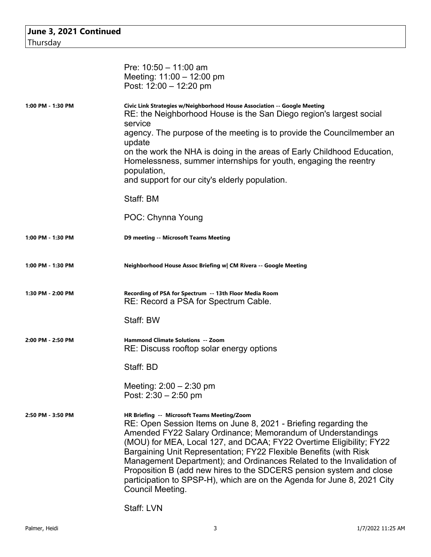| June 3, 2021 Continued |                                                                                                                                                                                                                                                                                                                                                                                                                                                                                                                                                                          |  |
|------------------------|--------------------------------------------------------------------------------------------------------------------------------------------------------------------------------------------------------------------------------------------------------------------------------------------------------------------------------------------------------------------------------------------------------------------------------------------------------------------------------------------------------------------------------------------------------------------------|--|
| Thursday               |                                                                                                                                                                                                                                                                                                                                                                                                                                                                                                                                                                          |  |
|                        |                                                                                                                                                                                                                                                                                                                                                                                                                                                                                                                                                                          |  |
|                        | Pre: $10:50 - 11:00$ am                                                                                                                                                                                                                                                                                                                                                                                                                                                                                                                                                  |  |
|                        | Meeting: $11:00 - 12:00$ pm                                                                                                                                                                                                                                                                                                                                                                                                                                                                                                                                              |  |
|                        | Post: 12:00 - 12:20 pm                                                                                                                                                                                                                                                                                                                                                                                                                                                                                                                                                   |  |
| 1:00 PM - 1:30 PM      | Civic Link Strategies w/Neighborhood House Association -- Google Meeting<br>RE: the Neighborhood House is the San Diego region's largest social<br>service<br>agency. The purpose of the meeting is to provide the Councilmember an                                                                                                                                                                                                                                                                                                                                      |  |
|                        | update                                                                                                                                                                                                                                                                                                                                                                                                                                                                                                                                                                   |  |
|                        | on the work the NHA is doing in the areas of Early Childhood Education,<br>Homelessness, summer internships for youth, engaging the reentry<br>population,                                                                                                                                                                                                                                                                                                                                                                                                               |  |
|                        | and support for our city's elderly population.                                                                                                                                                                                                                                                                                                                                                                                                                                                                                                                           |  |
|                        | Staff: BM                                                                                                                                                                                                                                                                                                                                                                                                                                                                                                                                                                |  |
|                        | POC: Chynna Young                                                                                                                                                                                                                                                                                                                                                                                                                                                                                                                                                        |  |
| 1:00 PM - 1:30 PM      | <b>D9 meeting -- Microsoft Teams Meeting</b>                                                                                                                                                                                                                                                                                                                                                                                                                                                                                                                             |  |
| 1:00 PM - 1:30 PM      | Neighborhood House Assoc Briefing w  CM Rivera -- Google Meeting                                                                                                                                                                                                                                                                                                                                                                                                                                                                                                         |  |
| 1:30 PM - 2:00 PM      | Recording of PSA for Spectrum -- 13th Floor Media Room<br>RE: Record a PSA for Spectrum Cable.                                                                                                                                                                                                                                                                                                                                                                                                                                                                           |  |
|                        | Staff: BW                                                                                                                                                                                                                                                                                                                                                                                                                                                                                                                                                                |  |
| 2:00 PM - 2:50 PM      | <b>Hammond Climate Solutions -- Zoom</b><br>RE: Discuss rooftop solar energy options                                                                                                                                                                                                                                                                                                                                                                                                                                                                                     |  |
|                        | Staff: BD                                                                                                                                                                                                                                                                                                                                                                                                                                                                                                                                                                |  |
|                        | Meeting: $2:00 - 2:30$ pm<br>Post: $2:30 - 2:50$ pm                                                                                                                                                                                                                                                                                                                                                                                                                                                                                                                      |  |
| 2:50 PM - 3:50 PM      | HR Briefing -- Microsoft Teams Meeting/Zoom<br>RE: Open Session Items on June 8, 2021 - Briefing regarding the<br>Amended FY22 Salary Ordinance; Memorandum of Understandings<br>(MOU) for MEA, Local 127, and DCAA; FY22 Overtime Eligibility; FY22<br>Bargaining Unit Representation; FY22 Flexible Benefits (with Risk<br>Management Department); and Ordinances Related to the Invalidation of<br>Proposition B (add new hires to the SDCERS pension system and close<br>participation to SPSP-H), which are on the Agenda for June 8, 2021 City<br>Council Meeting. |  |

Staff: LVN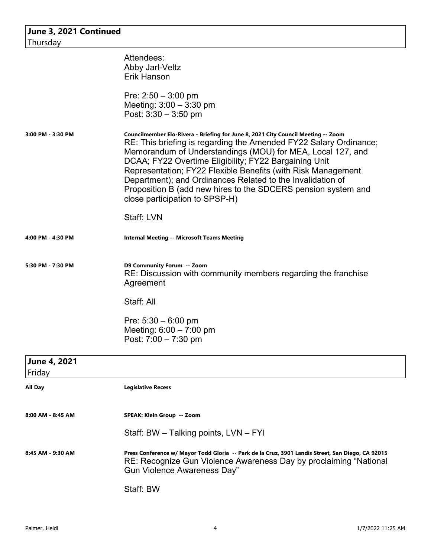| June 3, 2021 Continued<br>Thursday |                                                                                                                                                                                                                                                                                                                                                                                                                                                                                                                              |
|------------------------------------|------------------------------------------------------------------------------------------------------------------------------------------------------------------------------------------------------------------------------------------------------------------------------------------------------------------------------------------------------------------------------------------------------------------------------------------------------------------------------------------------------------------------------|
|                                    | Attendees:<br>Abby Jarl-Veltz<br><b>Erik Hanson</b>                                                                                                                                                                                                                                                                                                                                                                                                                                                                          |
|                                    | Pre: $2:50 - 3:00$ pm<br>Meeting: $3:00 - 3:30$ pm<br>Post: $3:30 - 3:50$ pm                                                                                                                                                                                                                                                                                                                                                                                                                                                 |
| 3:00 PM - 3:30 PM                  | Councilmember Elo-Rivera - Briefing for June 8, 2021 City Council Meeting -- Zoom<br>RE: This briefing is regarding the Amended FY22 Salary Ordinance;<br>Memorandum of Understandings (MOU) for MEA, Local 127, and<br>DCAA; FY22 Overtime Eligibility; FY22 Bargaining Unit<br>Representation; FY22 Flexible Benefits (with Risk Management<br>Department); and Ordinances Related to the Invalidation of<br>Proposition B (add new hires to the SDCERS pension system and<br>close participation to SPSP-H)<br>Staff: LVN |
| 4:00 PM - 4:30 PM                  | <b>Internal Meeting -- Microsoft Teams Meeting</b>                                                                                                                                                                                                                                                                                                                                                                                                                                                                           |
| 5:30 PM - 7:30 PM                  | D9 Community Forum -- Zoom<br>RE: Discussion with community members regarding the franchise<br>Agreement<br>Staff: All                                                                                                                                                                                                                                                                                                                                                                                                       |
|                                    | Pre: $5:30 - 6:00$ pm<br>Meeting: $6:00 - 7:00$ pm<br>Post: 7:00 - 7:30 pm                                                                                                                                                                                                                                                                                                                                                                                                                                                   |
| June 4, 2021<br>Friday             |                                                                                                                                                                                                                                                                                                                                                                                                                                                                                                                              |
| <b>All Day</b>                     | <b>Legislative Recess</b>                                                                                                                                                                                                                                                                                                                                                                                                                                                                                                    |
| 8:00 AM - 8:45 AM                  | SPEAK: Klein Group -- Zoom<br>Staff: BW – Talking points, LVN – FYI                                                                                                                                                                                                                                                                                                                                                                                                                                                          |
| 8:45 AM - 9:30 AM                  | Press Conference w/ Mayor Todd Gloria -- Park de la Cruz, 3901 Landis Street, San Diego, CA 92015<br>RE: Recognize Gun Violence Awareness Day by proclaiming "National<br><b>Gun Violence Awareness Day"</b>                                                                                                                                                                                                                                                                                                                 |
|                                    | Staff: BW                                                                                                                                                                                                                                                                                                                                                                                                                                                                                                                    |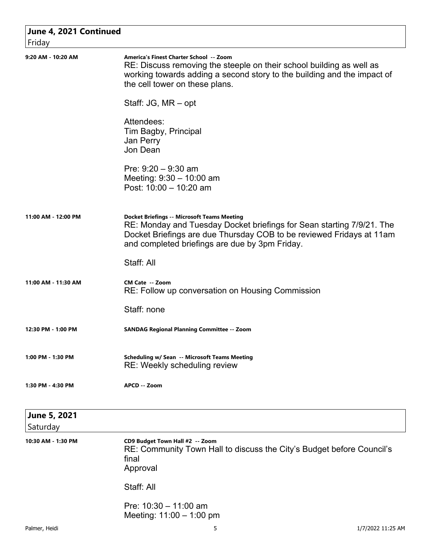| June 4, 2021 Continued       |                                                                                                                                                                                                                                                       |
|------------------------------|-------------------------------------------------------------------------------------------------------------------------------------------------------------------------------------------------------------------------------------------------------|
| Friday<br>9:20 AM - 10:20 AM | America's Finest Charter School -- Zoom<br>RE: Discuss removing the steeple on their school building as well as<br>working towards adding a second story to the building and the impact of<br>the cell tower on these plans.                          |
|                              | Staff: JG, MR – opt                                                                                                                                                                                                                                   |
|                              | Attendees:<br>Tim Bagby, Principal<br>Jan Perry<br>Jon Dean                                                                                                                                                                                           |
|                              | Pre: $9:20 - 9:30$ am<br>Meeting: $9:30 - 10:00$ am<br>Post: 10:00 - 10:20 am                                                                                                                                                                         |
| 11:00 AM - 12:00 PM          | <b>Docket Briefings -- Microsoft Teams Meeting</b><br>RE: Monday and Tuesday Docket briefings for Sean starting 7/9/21. The<br>Docket Briefings are due Thursday COB to be reviewed Fridays at 11am<br>and completed briefings are due by 3pm Friday. |
|                              | Staff: All                                                                                                                                                                                                                                            |
| 11:00 AM - 11:30 AM          | <b>CM Cate -- Zoom</b><br>RE: Follow up conversation on Housing Commission                                                                                                                                                                            |
|                              | Staff: none                                                                                                                                                                                                                                           |
| 12:30 PM - 1:00 PM           | <b>SANDAG Regional Planning Committee -- Zoom</b>                                                                                                                                                                                                     |
| 1:00 PM - 1:30 PM            | Scheduling w/ Sean -- Microsoft Teams Meeting<br>RE: Weekly scheduling review                                                                                                                                                                         |
| 1:30 PM - 4:30 PM            | APCD -- Zoom                                                                                                                                                                                                                                          |
| June 5, 2021                 |                                                                                                                                                                                                                                                       |
| Saturday                     |                                                                                                                                                                                                                                                       |
| 10:30 AM - 1:30 PM           | CD9 Budget Town Hall #2 -- Zoom<br>RE: Community Town Hall to discuss the City's Budget before Council's<br>final<br>Approval                                                                                                                         |
|                              | Staff: All                                                                                                                                                                                                                                            |
|                              | Pre: $10:30 - 11:00$ am<br>Meeting: $11:00 - 1:00$ pm                                                                                                                                                                                                 |
| Palmer, Heidi                | 5<br>1/7/2022 11:25 AM                                                                                                                                                                                                                                |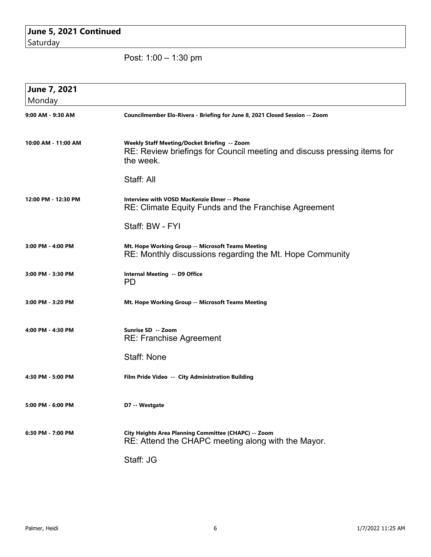## **June 5, 2021 Continued** Saturday

Post: 1:00 – 1:30 pm

| June 7, 2021<br>Monday |                                                                                                                                      |
|------------------------|--------------------------------------------------------------------------------------------------------------------------------------|
| 9:00 AM - 9:30 AM      | Councilmember Elo-Rivera - Briefing for June 8, 2021 Closed Session -- Zoom                                                          |
| 10:00 AM - 11:00 AM    | Weekly Staff Meeting/Docket Briefing -- Zoom<br>RE: Review briefings for Council meeting and discuss pressing items for<br>the week. |
|                        | Staff: All                                                                                                                           |
| 12:00 PM - 12:30 PM    | <b>Interview with VOSD MacKenzie Elmer -- Phone</b><br>RE: Climate Equity Funds and the Franchise Agreement                          |
|                        | Staff: BW - FYI                                                                                                                      |
| 3:00 PM - 4:00 PM      | Mt. Hope Working Group -- Microsoft Teams Meeting<br>RE: Monthly discussions regarding the Mt. Hope Community                        |
| 3:00 PM - 3:30 PM      | Internal Meeting -- D9 Office<br><b>PD</b>                                                                                           |
| 3:00 PM - 3:20 PM      | Mt. Hope Working Group -- Microsoft Teams Meeting                                                                                    |
| 4:00 PM - 4:30 PM      | Sunrise SD -- Zoom<br><b>RE: Franchise Agreement</b>                                                                                 |
|                        | <b>Staff: None</b>                                                                                                                   |
| 4:30 PM - 5:00 PM      | Film Pride Video -- City Administration Building                                                                                     |
| 5:00 PM - 6:00 PM      | D7 -- Westgate                                                                                                                       |
| 6:30 PM - 7:00 PM      | City Heights Area Planning Committee (CHAPC) -- Zoom<br>RE: Attend the CHAPC meeting along with the Mayor.                           |
|                        | Staff: JG                                                                                                                            |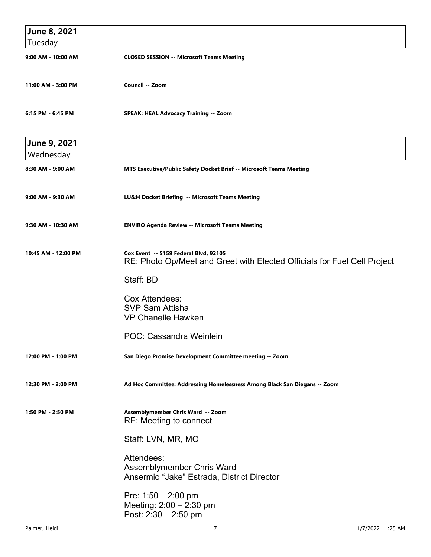| June 8, 2021<br>Tuesday   |                                                                                                                   |  |
|---------------------------|-------------------------------------------------------------------------------------------------------------------|--|
| 9:00 AM - 10:00 AM        | <b>CLOSED SESSION -- Microsoft Teams Meeting</b>                                                                  |  |
| 11:00 AM - 3:00 PM        | Council -- Zoom                                                                                                   |  |
| 6:15 PM - 6:45 PM         | <b>SPEAK: HEAL Advocacy Training -- Zoom</b>                                                                      |  |
| June 9, 2021<br>Wednesday |                                                                                                                   |  |
| 8:30 AM - 9:00 AM         | MTS Executive/Public Safety Docket Brief -- Microsoft Teams Meeting                                               |  |
| 9:00 AM - 9:30 AM         | LU&H Docket Briefing -- Microsoft Teams Meeting                                                                   |  |
| 9:30 AM - 10:30 AM        | <b>ENVIRO Agenda Review -- Microsoft Teams Meeting</b>                                                            |  |
| 10:45 AM - 12:00 PM       | Cox Event -- 5159 Federal Blvd, 92105<br>RE: Photo Op/Meet and Greet with Elected Officials for Fuel Cell Project |  |
|                           | Staff: BD                                                                                                         |  |
|                           | <b>Cox Attendees:</b><br><b>SVP Sam Attisha</b><br><b>VP Chanelle Hawken</b>                                      |  |
|                           | POC: Cassandra Weinlein                                                                                           |  |
| 12:00 PM - 1:00 PM        | San Diego Promise Development Committee meeting -- Zoom                                                           |  |
| 12:30 PM - 2:00 PM        | Ad Hoc Committee: Addressing Homelessness Among Black San Diegans -- Zoom                                         |  |
| 1:50 PM - 2:50 PM         | Assemblymember Chris Ward -- Zoom<br>RE: Meeting to connect                                                       |  |
|                           | Staff: LVN, MR, MO                                                                                                |  |
|                           | Attendees:<br>Assemblymember Chris Ward<br>Ansermio "Jake" Estrada, District Director                             |  |
|                           | Pre: $1:50 - 2:00$ pm<br>Meeting: $2:00 - 2:30$ pm<br>Post: $2:30 - 2:50$ pm                                      |  |
| Palmer, Heidi             | 7<br>1/7/2022 11:25 AM                                                                                            |  |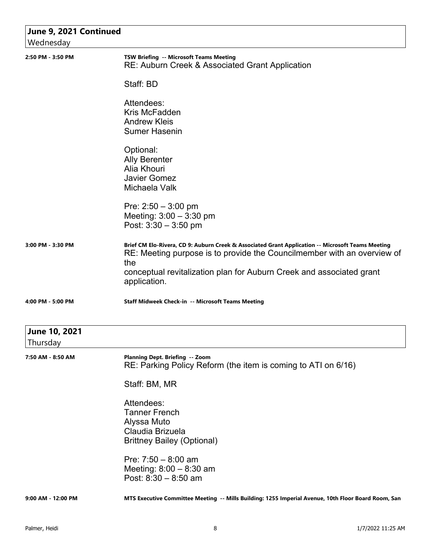| June 9, 2021 Continued    |                                                                                                                                                                                                                                                                             |
|---------------------------|-----------------------------------------------------------------------------------------------------------------------------------------------------------------------------------------------------------------------------------------------------------------------------|
| Wednesday                 |                                                                                                                                                                                                                                                                             |
| 2:50 PM - 3:50 PM         | TSW Briefing -- Microsoft Teams Meeting<br>RE: Auburn Creek & Associated Grant Application                                                                                                                                                                                  |
|                           | Staff: BD                                                                                                                                                                                                                                                                   |
|                           | Attendees:<br>Kris McFadden<br><b>Andrew Kleis</b><br><b>Sumer Hasenin</b>                                                                                                                                                                                                  |
|                           | Optional:<br><b>Ally Berenter</b><br>Alia Khouri<br><b>Javier Gomez</b><br>Michaela Valk                                                                                                                                                                                    |
|                           | Pre: $2:50 - 3:00$ pm<br>Meeting: $3:00 - 3:30$ pm<br>Post: $3:30 - 3:50$ pm                                                                                                                                                                                                |
| 3:00 PM - 3:30 PM         | Brief CM Elo-Rivera, CD 9: Auburn Creek & Associated Grant Application -- Microsoft Teams Meeting<br>RE: Meeting purpose is to provide the Councilmember with an overview of<br>the<br>conceptual revitalization plan for Auburn Creek and associated grant<br>application. |
| 4:00 PM - 5:00 PM         | Staff Midweek Check-in -- Microsoft Teams Meeting                                                                                                                                                                                                                           |
| June 10, 2021<br>Thursday |                                                                                                                                                                                                                                                                             |
| 7:50 AM - 8:50 AM         | Planning Dept. Briefing -- Zoom<br>RE: Parking Policy Reform (the item is coming to ATI on 6/16)                                                                                                                                                                            |
|                           | Staff: BM, MR                                                                                                                                                                                                                                                               |
|                           | Attendees:<br><b>Tanner French</b><br>Alyssa Muto<br>Claudia Brizuela<br><b>Brittney Bailey (Optional)</b>                                                                                                                                                                  |
|                           | Pre: $7:50 - 8:00$ am<br>Meeting: $8:00 - 8:30$ am<br>Post: $8:30 - 8:50$ am                                                                                                                                                                                                |
| 9:00 AM - 12:00 PM        | MTS Executive Committee Meeting -- Mills Building: 1255 Imperial Avenue, 10th Floor Board Room, San                                                                                                                                                                         |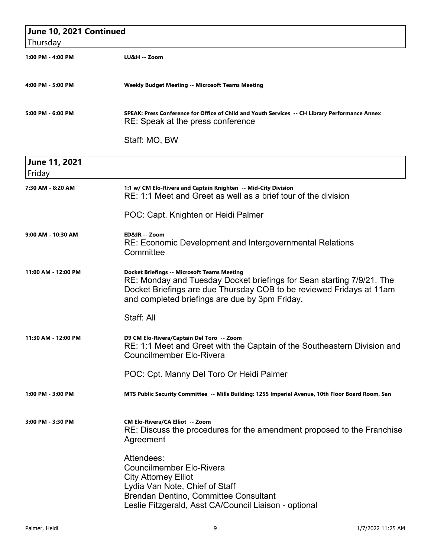| June 10, 2021 Continued |                                                                                                                                                                                                                                                       |
|-------------------------|-------------------------------------------------------------------------------------------------------------------------------------------------------------------------------------------------------------------------------------------------------|
| Thursday                |                                                                                                                                                                                                                                                       |
| 1:00 PM - 4:00 PM       | LU&H -- Zoom                                                                                                                                                                                                                                          |
| 4:00 PM - 5:00 PM       | <b>Weekly Budget Meeting -- Microsoft Teams Meeting</b>                                                                                                                                                                                               |
| 5:00 PM - 6:00 PM       | SPEAK: Press Conference for Office of Child and Youth Services -- CH Library Performance Annex<br>RE: Speak at the press conference                                                                                                                   |
|                         | Staff: MO, BW                                                                                                                                                                                                                                         |
| June 11, 2021<br>Friday |                                                                                                                                                                                                                                                       |
| 7:30 AM - 8:20 AM       | 1:1 w/ CM Elo-Rivera and Captain Knighten -- Mid-City Division<br>RE: 1:1 Meet and Greet as well as a brief tour of the division                                                                                                                      |
|                         | POC: Capt. Knighten or Heidi Palmer                                                                                                                                                                                                                   |
| 9:00 AM - 10:30 AM      | ED&IR -- Zoom<br>RE: Economic Development and Intergovernmental Relations<br>Committee                                                                                                                                                                |
| 11:00 AM - 12:00 PM     | <b>Docket Briefings -- Microsoft Teams Meeting</b><br>RE: Monday and Tuesday Docket briefings for Sean starting 7/9/21. The<br>Docket Briefings are due Thursday COB to be reviewed Fridays at 11am<br>and completed briefings are due by 3pm Friday. |
|                         | Staff: All                                                                                                                                                                                                                                            |
| 11:30 AM - 12:00 PM     | D9 CM Elo-Rivera/Captain Del Toro -- Zoom<br>RE: 1:1 Meet and Greet with the Captain of the Southeastern Division and<br><b>Councilmember Elo-Rivera</b>                                                                                              |
|                         | POC: Cpt. Manny Del Toro Or Heidi Palmer                                                                                                                                                                                                              |
| 1:00 PM - 3:00 PM       | MTS Public Security Committee -- Mills Building: 1255 Imperial Avenue, 10th Floor Board Room, San                                                                                                                                                     |
| 3:00 PM - 3:30 PM       | <b>CM Elo-Rivera/CA Elliot -- Zoom</b><br>RE: Discuss the procedures for the amendment proposed to the Franchise<br>Agreement                                                                                                                         |
|                         | Attendees:<br><b>Councilmember Elo-Rivera</b><br><b>City Attorney Elliot</b><br>Lydia Van Note, Chief of Staff<br>Brendan Dentino, Committee Consultant<br>Leslie Fitzgerald, Asst CA/Council Liaison - optional                                      |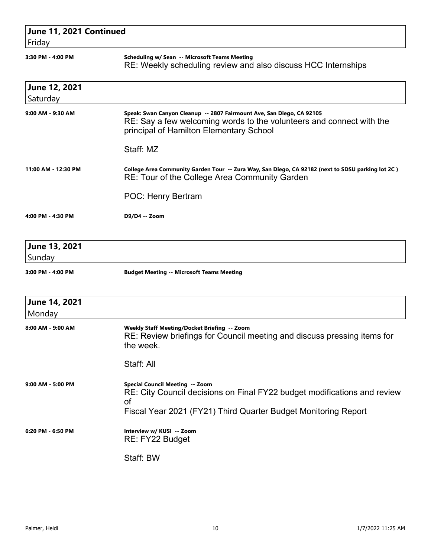| June 11, 2021 Continued<br>Friday |                                                                                                                                                                                          |
|-----------------------------------|------------------------------------------------------------------------------------------------------------------------------------------------------------------------------------------|
| 3:30 PM - 4:00 PM                 | Scheduling w/ Sean -- Microsoft Teams Meeting<br>RE: Weekly scheduling review and also discuss HCC Internships                                                                           |
| June 12, 2021<br>Saturday         |                                                                                                                                                                                          |
| 9:00 AM - 9:30 AM                 | Speak: Swan Canyon Cleanup -- 2807 Fairmount Ave, San Diego, CA 92105<br>RE: Say a few welcoming words to the volunteers and connect with the<br>principal of Hamilton Elementary School |
|                                   | Staff: MZ                                                                                                                                                                                |
| 11:00 AM - 12:30 PM               | College Area Community Garden Tour -- Zura Way, San Diego, CA 92182 (next to SDSU parking lot 2C)<br>RE: Tour of the College Area Community Garden                                       |
|                                   | POC: Henry Bertram                                                                                                                                                                       |
| 4:00 PM - 4:30 PM                 | D9/D4 -- Zoom                                                                                                                                                                            |
| June 13, 2021<br>Sunday           |                                                                                                                                                                                          |
| 3:00 PM - 4:00 PM                 | <b>Budget Meeting -- Microsoft Teams Meeting</b>                                                                                                                                         |
| June 14, 2021<br>Monday           |                                                                                                                                                                                          |
| 8:00 AM - 9:00 AM                 | Weekly Staff Meeting/Docket Briefing -- Zoom<br>RE: Review briefings for Council meeting and discuss pressing items for<br>the week.                                                     |
|                                   | Staff: All                                                                                                                                                                               |
| 9:00 AM - 5:00 PM                 | Special Council Meeting -- Zoom<br>RE: City Council decisions on Final FY22 budget modifications and review<br>οf<br>Fiscal Year 2021 (FY21) Third Quarter Budget Monitoring Report      |
| 6:20 PM - 6:50 PM                 | Interview w/ KUSI -- Zoom<br>RE: FY22 Budget                                                                                                                                             |
|                                   | Staff: BW                                                                                                                                                                                |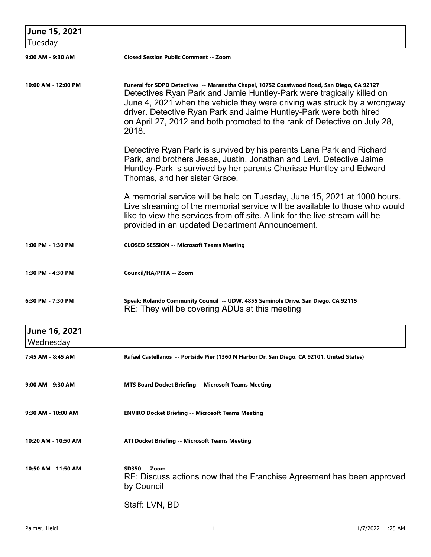| June 15, 2021              |                                                                                                                                                                                                                                                                                                                                                                                                            |
|----------------------------|------------------------------------------------------------------------------------------------------------------------------------------------------------------------------------------------------------------------------------------------------------------------------------------------------------------------------------------------------------------------------------------------------------|
| Tuesday                    |                                                                                                                                                                                                                                                                                                                                                                                                            |
| 9:00 AM - 9:30 AM          | <b>Closed Session Public Comment -- Zoom</b>                                                                                                                                                                                                                                                                                                                                                               |
| 10:00 AM - 12:00 PM        | Funeral for SDPD Detectives -- Maranatha Chapel, 10752 Coastwood Road, San Diego, CA 92127<br>Detectives Ryan Park and Jamie Huntley-Park were tragically killed on<br>June 4, 2021 when the vehicle they were driving was struck by a wrongway<br>driver. Detective Ryan Park and Jaime Huntley-Park were both hired<br>on April 27, 2012 and both promoted to the rank of Detective on July 28,<br>2018. |
|                            | Detective Ryan Park is survived by his parents Lana Park and Richard<br>Park, and brothers Jesse, Justin, Jonathan and Levi. Detective Jaime<br>Huntley-Park is survived by her parents Cherisse Huntley and Edward<br>Thomas, and her sister Grace.                                                                                                                                                       |
|                            | A memorial service will be held on Tuesday, June 15, 2021 at 1000 hours.<br>Live streaming of the memorial service will be available to those who would<br>like to view the services from off site. A link for the live stream will be<br>provided in an updated Department Announcement.                                                                                                                  |
| 1:00 PM - 1:30 PM          | <b>CLOSED SESSION -- Microsoft Teams Meeting</b>                                                                                                                                                                                                                                                                                                                                                           |
| 1:30 PM - 4:30 PM          | Council/HA/PFFA -- Zoom                                                                                                                                                                                                                                                                                                                                                                                    |
| 6:30 PM - 7:30 PM          | Speak: Rolando Community Council -- UDW, 4855 Seminole Drive, San Diego, CA 92115<br>RE: They will be covering ADUs at this meeting                                                                                                                                                                                                                                                                        |
| June 16, 2021<br>Wednesday |                                                                                                                                                                                                                                                                                                                                                                                                            |
| 7:45 AM - 8:45 AM          | Rafael Castellanos -- Portside Pier (1360 N Harbor Dr, San Diego, CA 92101, United States)                                                                                                                                                                                                                                                                                                                 |
| 9:00 AM - 9:30 AM          | <b>MTS Board Docket Briefing -- Microsoft Teams Meeting</b>                                                                                                                                                                                                                                                                                                                                                |
| 9:30 AM - 10:00 AM         | <b>ENVIRO Docket Briefing -- Microsoft Teams Meeting</b>                                                                                                                                                                                                                                                                                                                                                   |
| 10:20 AM - 10:50 AM        | ATI Docket Briefing -- Microsoft Teams Meeting                                                                                                                                                                                                                                                                                                                                                             |
| 10:50 AM - 11:50 AM        | SD350 -- Zoom<br>RE: Discuss actions now that the Franchise Agreement has been approved<br>by Council                                                                                                                                                                                                                                                                                                      |
|                            | Staff: LVN, BD                                                                                                                                                                                                                                                                                                                                                                                             |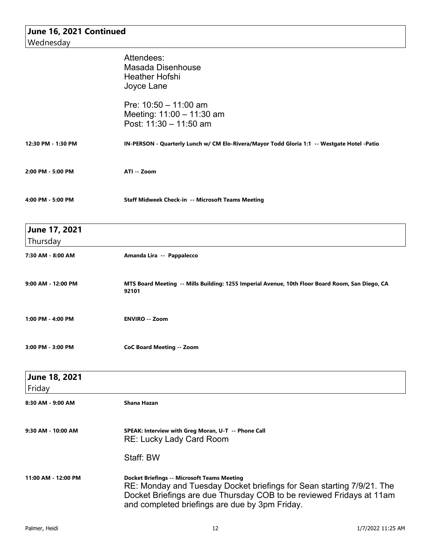| June 16, 2021 Continued   |                                                                                                                                                                                                                                                       |
|---------------------------|-------------------------------------------------------------------------------------------------------------------------------------------------------------------------------------------------------------------------------------------------------|
| Wednesday                 |                                                                                                                                                                                                                                                       |
|                           | Attendees:                                                                                                                                                                                                                                            |
|                           | Masada Disenhouse                                                                                                                                                                                                                                     |
|                           | <b>Heather Hofshi</b>                                                                                                                                                                                                                                 |
|                           |                                                                                                                                                                                                                                                       |
|                           | Joyce Lane                                                                                                                                                                                                                                            |
|                           | Pre: $10:50 - 11:00$ am                                                                                                                                                                                                                               |
|                           | Meeting: 11:00 - 11:30 am                                                                                                                                                                                                                             |
|                           | Post: 11:30 - 11:50 am                                                                                                                                                                                                                                |
| 12:30 PM - 1:30 PM        | IN-PERSON - Quarterly Lunch w/ CM Elo-Rivera/Mayor Todd Gloria 1:1 -- Westgate Hotel -Patio                                                                                                                                                           |
| 2:00 PM - 5:00 PM         | ATI -- Zoom                                                                                                                                                                                                                                           |
| 4:00 PM - 5:00 PM         | Staff Midweek Check-in -- Microsoft Teams Meeting                                                                                                                                                                                                     |
| June 17, 2021<br>Thursday |                                                                                                                                                                                                                                                       |
|                           |                                                                                                                                                                                                                                                       |
| 7:30 AM - 8:00 AM         | Amanda Lira -- Pappalecco                                                                                                                                                                                                                             |
| 9:00 AM - 12:00 PM        | MTS Board Meeting -- Mills Building: 1255 Imperial Avenue, 10th Floor Board Room, San Diego, CA<br>92101                                                                                                                                              |
| 1:00 PM - 4:00 PM         | <b>ENVIRO -- Zoom</b>                                                                                                                                                                                                                                 |
| 3:00 PM - 3:00 PM         | <b>CoC Board Meeting -- Zoom</b>                                                                                                                                                                                                                      |
|                           |                                                                                                                                                                                                                                                       |
| June 18, 2021<br>Friday   |                                                                                                                                                                                                                                                       |
| 8:30 AM - 9:00 AM         | Shana Hazan                                                                                                                                                                                                                                           |
|                           |                                                                                                                                                                                                                                                       |
| 9:30 AM - 10:00 AM        | SPEAK: Interview with Greg Moran, U-T -- Phone Call<br><b>RE: Lucky Lady Card Room</b>                                                                                                                                                                |
|                           | Staff: BW                                                                                                                                                                                                                                             |
| 11:00 AM - 12:00 PM       | <b>Docket Briefings -- Microsoft Teams Meeting</b><br>RE: Monday and Tuesday Docket briefings for Sean starting 7/9/21. The<br>Docket Briefings are due Thursday COB to be reviewed Fridays at 11am<br>and completed briefings are due by 3pm Friday. |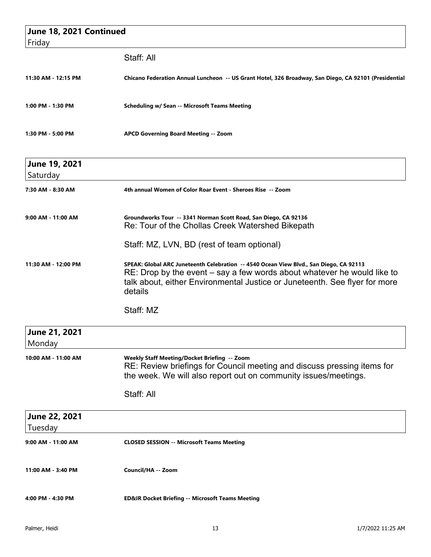| June 18, 2021 Continued<br>Friday |                                                                                                                                                                                                                                                                 |
|-----------------------------------|-----------------------------------------------------------------------------------------------------------------------------------------------------------------------------------------------------------------------------------------------------------------|
|                                   | Staff: All                                                                                                                                                                                                                                                      |
| 11:30 AM - 12:15 PM               | Chicano Federation Annual Luncheon -- US Grant Hotel, 326 Broadway, San Diego, CA 92101 (Presidential                                                                                                                                                           |
| 1:00 PM - 1:30 PM                 | <b>Scheduling w/ Sean -- Microsoft Teams Meeting</b>                                                                                                                                                                                                            |
| 1:30 PM - 5:00 PM                 | <b>APCD Governing Board Meeting -- Zoom</b>                                                                                                                                                                                                                     |
| June 19, 2021<br>Saturday         |                                                                                                                                                                                                                                                                 |
| 7:30 AM - 8:30 AM                 | 4th annual Women of Color Roar Event - Sheroes Rise -- Zoom                                                                                                                                                                                                     |
| 9:00 AM - 11:00 AM                | Groundworks Tour -- 3341 Norman Scott Road, San Diego, CA 92136<br>Re: Tour of the Chollas Creek Watershed Bikepath                                                                                                                                             |
|                                   | Staff: MZ, LVN, BD (rest of team optional)                                                                                                                                                                                                                      |
| 11:30 AM - 12:00 PM               | SPEAK: Global ARC Juneteenth Celebration -- 4540 Ocean View Blvd., San Diego, CA 92113<br>$RE$ : Drop by the event $-$ say a few words about whatever he would like to<br>talk about, either Environmental Justice or Juneteenth. See flyer for more<br>details |
|                                   | Staff: MZ                                                                                                                                                                                                                                                       |
| June 21, 2021<br>Monday           |                                                                                                                                                                                                                                                                 |
| 10:00 AM - 11:00 AM               | Weekly Staff Meeting/Docket Briefing -- Zoom<br>RE: Review briefings for Council meeting and discuss pressing items for<br>the week. We will also report out on community issues/meetings.                                                                      |
|                                   | Staff: All                                                                                                                                                                                                                                                      |
| June 22, 2021<br>Tuesday          |                                                                                                                                                                                                                                                                 |
| 9:00 AM - 11:00 AM                | <b>CLOSED SESSION -- Microsoft Teams Meeting</b>                                                                                                                                                                                                                |
| 11:00 AM - 3:40 PM                | Council/HA -- Zoom                                                                                                                                                                                                                                              |
| 4:00 PM - 4:30 PM                 | <b>ED&amp;IR Docket Briefing -- Microsoft Teams Meeting</b>                                                                                                                                                                                                     |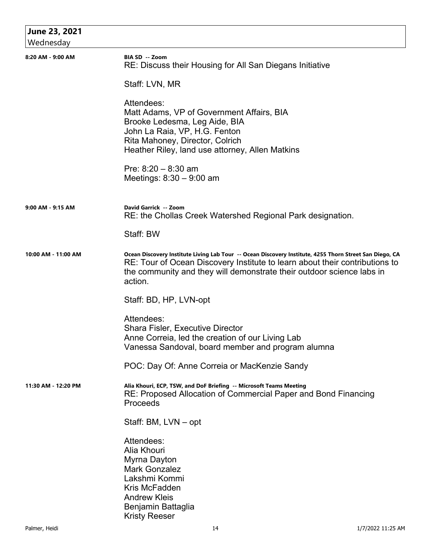| June 23, 2021       |                                                                                                                                                                                                                                                                            |
|---------------------|----------------------------------------------------------------------------------------------------------------------------------------------------------------------------------------------------------------------------------------------------------------------------|
| Wednesday           |                                                                                                                                                                                                                                                                            |
| 8:20 AM - 9:00 AM   | BIA SD -- Zoom<br>RE: Discuss their Housing for All San Diegans Initiative                                                                                                                                                                                                 |
|                     | Staff: LVN, MR                                                                                                                                                                                                                                                             |
|                     | Attendees:<br>Matt Adams, VP of Government Affairs, BIA<br>Brooke Ledesma, Leg Aide, BIA<br>John La Raia, VP, H.G. Fenton<br>Rita Mahoney, Director, Colrich<br>Heather Riley, land use attorney, Allen Matkins                                                            |
|                     | Pre: $8:20 - 8:30$ am<br>Meetings: $8:30 - 9:00$ am                                                                                                                                                                                                                        |
| 9:00 AM - 9:15 AM   | David Garrick -- Zoom<br>RE: the Chollas Creek Watershed Regional Park designation.                                                                                                                                                                                        |
|                     | Staff: BW                                                                                                                                                                                                                                                                  |
| 10:00 AM - 11:00 AM | Ocean Discovery Institute Living Lab Tour -- Ocean Discovery Institute, 4255 Thorn Street San Diego, CA<br>RE: Tour of Ocean Discovery Institute to learn about their contributions to<br>the community and they will demonstrate their outdoor science labs in<br>action. |
|                     | Staff: BD, HP, LVN-opt                                                                                                                                                                                                                                                     |
|                     | Attendees:<br><b>Shara Fisler, Executive Director</b><br>Anne Correia, led the creation of our Living Lab<br>Vanessa Sandoval, board member and program alumna                                                                                                             |
|                     | POC: Day Of: Anne Correia or MacKenzie Sandy                                                                                                                                                                                                                               |
| 11:30 AM - 12:20 PM | Alia Khouri, ECP, TSW, and DoF Briefing -- Microsoft Teams Meeting<br>RE: Proposed Allocation of Commercial Paper and Bond Financing<br>Proceeds                                                                                                                           |
|                     | Staff: BM, LVN – opt                                                                                                                                                                                                                                                       |
|                     | Attendees:<br>Alia Khouri<br>Myrna Dayton<br><b>Mark Gonzalez</b><br>Lakshmi Kommi<br>Kris McFadden<br><b>Andrew Kleis</b><br>Benjamin Battaglia<br><b>Kristy Reeser</b>                                                                                                   |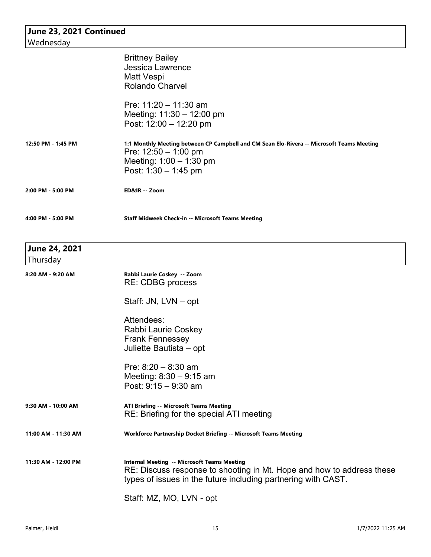| June 23, 2021 Continued<br>Wednesday |                                                                                                                                        |  |
|--------------------------------------|----------------------------------------------------------------------------------------------------------------------------------------|--|
|                                      |                                                                                                                                        |  |
|                                      | <b>Jessica Lawrence</b>                                                                                                                |  |
|                                      | Matt Vespi                                                                                                                             |  |
|                                      | <b>Rolando Charvel</b>                                                                                                                 |  |
|                                      | Pre: $11:20 - 11:30$ am                                                                                                                |  |
|                                      | Meeting: $11:30 - 12:00$ pm                                                                                                            |  |
|                                      | Post: $12:00 - 12:20$ pm                                                                                                               |  |
| 12:50 PM - 1:45 PM                   | 1:1 Monthly Meeting between CP Campbell and CM Sean Elo-Rivera -- Microsoft Teams Meeting                                              |  |
|                                      | Pre: $12:50 - 1:00$ pm                                                                                                                 |  |
|                                      | Meeting: $1:00 - 1:30$ pm<br>Post: $1:30 - 1:45$ pm                                                                                    |  |
|                                      |                                                                                                                                        |  |
| 2:00 PM - 5:00 PM                    | ED&IR -- Zoom                                                                                                                          |  |
| 4:00 PM - 5:00 PM                    | <b>Staff Midweek Check-in -- Microsoft Teams Meeting</b>                                                                               |  |
| June 24, 2021                        |                                                                                                                                        |  |
| Thursday                             |                                                                                                                                        |  |
| 8:20 AM - 9:20 AM                    | Rabbi Laurie Coskey -- Zoom<br>RE: CDBG process                                                                                        |  |
|                                      | Staff: JN, LVN – opt                                                                                                                   |  |
|                                      | Attendees:                                                                                                                             |  |
|                                      | Rabbi Laurie Coskey                                                                                                                    |  |
|                                      | <b>Frank Fennessey</b>                                                                                                                 |  |
|                                      | Juliette Bautista - opt                                                                                                                |  |
|                                      | Pre: $8:20 - 8:30$ am                                                                                                                  |  |
|                                      | Meeting: $8:30 - 9:15$ am                                                                                                              |  |
|                                      | Post: $9:15 - 9:30$ am                                                                                                                 |  |
| 9:30 AM - 10:00 AM                   | <b>ATI Briefing -- Microsoft Teams Meeting</b>                                                                                         |  |
|                                      | RE: Briefing for the special ATI meeting                                                                                               |  |
| 11:00 AM - 11:30 AM                  | Workforce Partnership Docket Briefing -- Microsoft Teams Meeting                                                                       |  |
| 11:30 AM - 12:00 PM                  | <b>Internal Meeting -- Microsoft Teams Meeting</b>                                                                                     |  |
|                                      | RE: Discuss response to shooting in Mt. Hope and how to address these<br>types of issues in the future including partnering with CAST. |  |
|                                      | Staff: MZ, MO, LVN - opt                                                                                                               |  |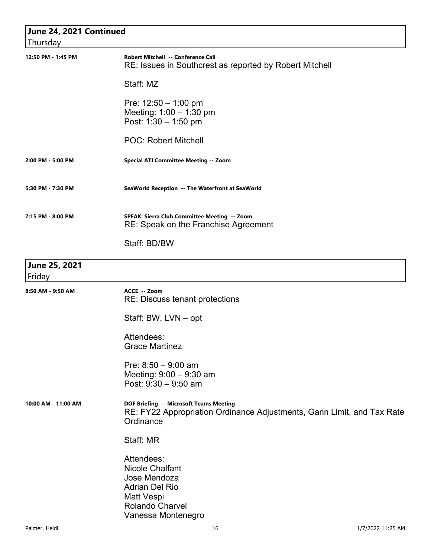| June 24, 2021 Continued |                                                                                                                                             |
|-------------------------|---------------------------------------------------------------------------------------------------------------------------------------------|
| Thursday                |                                                                                                                                             |
| 12:50 PM - 1:45 PM      | Robert Mitchell -- Conference Call<br>RE: Issues in Southcrest as reported by Robert Mitchell                                               |
|                         | Staff: MZ                                                                                                                                   |
|                         | Pre: $12:50 - 1:00$ pm<br>Meeting: 1:00 - 1:30 pm<br>Post: $1:30 - 1:50$ pm                                                                 |
|                         | <b>POC: Robert Mitchell</b>                                                                                                                 |
| 2:00 PM - 5:00 PM       | <b>Special ATI Committee Meeting -- Zoom</b>                                                                                                |
| 5:30 PM - 7:30 PM       | SeaWorld Reception -- The Waterfront at SeaWorld                                                                                            |
| 7:15 PM - 8:00 PM       | SPEAK: Sierra Club Committee Meeting -- Zoom<br>RE: Speak on the Franchise Agreement                                                        |
|                         | Staff: BD/BW                                                                                                                                |
| June 25, 2021<br>Friday |                                                                                                                                             |
| 8:50 AM - 9:50 AM       | ACCE -- Zoom<br>RE: Discuss tenant protections                                                                                              |
|                         | Staff: BW, LVN - opt                                                                                                                        |
|                         | Attendees:<br><b>Grace Martinez</b>                                                                                                         |
|                         | Pre: $8:50 - 9:00$ am<br>Meeting: 9:00 - 9:30 am<br>Post: $9:30 - 9:50$ am                                                                  |
| 10:00 AM - 11:00 AM     | DOF Briefing -- Microsoft Teams Meeting<br>RE: FY22 Appropriation Ordinance Adjustments, Gann Limit, and Tax Rate<br>Ordinance              |
|                         | Staff: MR                                                                                                                                   |
|                         | Attendees:<br><b>Nicole Chalfant</b><br>Jose Mendoza<br><b>Adrian Del Rio</b><br>Matt Vespi<br><b>Rolando Charvel</b><br>Vanessa Montenegro |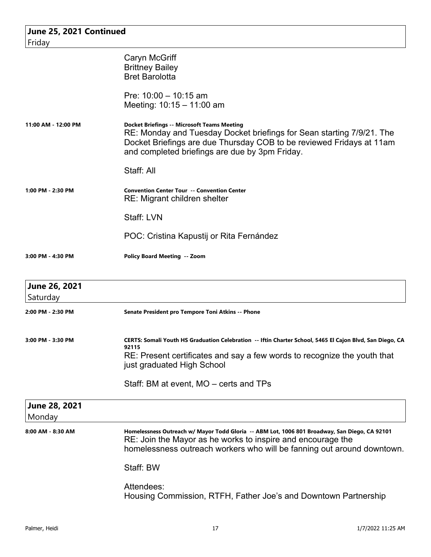| June 25, 2021 Continued<br>Friday |                                                                                                                                                                                                                                                       |
|-----------------------------------|-------------------------------------------------------------------------------------------------------------------------------------------------------------------------------------------------------------------------------------------------------|
|                                   | Caryn McGriff<br><b>Brittney Bailey</b><br><b>Bret Barolotta</b>                                                                                                                                                                                      |
|                                   | Pre: $10:00 - 10:15$ am<br>Meeting: 10:15 - 11:00 am                                                                                                                                                                                                  |
| 11:00 AM - 12:00 PM               | <b>Docket Briefings -- Microsoft Teams Meeting</b><br>RE: Monday and Tuesday Docket briefings for Sean starting 7/9/21. The<br>Docket Briefings are due Thursday COB to be reviewed Fridays at 11am<br>and completed briefings are due by 3pm Friday. |
|                                   | Staff: All                                                                                                                                                                                                                                            |
| 1:00 PM - 2:30 PM                 | <b>Convention Center Tour -- Convention Center</b><br>RE: Migrant children shelter                                                                                                                                                                    |
|                                   | Staff: LVN                                                                                                                                                                                                                                            |
|                                   | POC: Cristina Kapustij or Rita Fernández                                                                                                                                                                                                              |
| 3:00 PM - 4:30 PM                 | <b>Policy Board Meeting -- Zoom</b>                                                                                                                                                                                                                   |
| June 26, 2021<br>Saturday         |                                                                                                                                                                                                                                                       |
| 2:00 PM - 2:30 PM                 | Senate President pro Tempore Toni Atkins -- Phone                                                                                                                                                                                                     |
| 3:00 PM - 3:30 PM                 | CERTS: Somali Youth HS Graduation Celebration -- Iftin Charter School, 5465 El Cajon Blvd, San Diego, CA<br>92115<br>RE: Present certificates and say a few words to recognize the youth that<br>just graduated High School                           |
|                                   | Staff: BM at event, MO – certs and TPs                                                                                                                                                                                                                |
| <b>June 28, 2021</b><br>Monday    |                                                                                                                                                                                                                                                       |
| 8:00 AM - 8:30 AM                 | Homelessness Outreach w/ Mayor Todd Gloria -- ABM Lot, 1006 801 Broadway, San Diego, CA 92101<br>RE: Join the Mayor as he works to inspire and encourage the<br>homelessness outreach workers who will be fanning out around downtown.                |
|                                   | Staff: BW                                                                                                                                                                                                                                             |
|                                   | Attendees:<br>Housing Commission, RTFH, Father Joe's and Downtown Partnership                                                                                                                                                                         |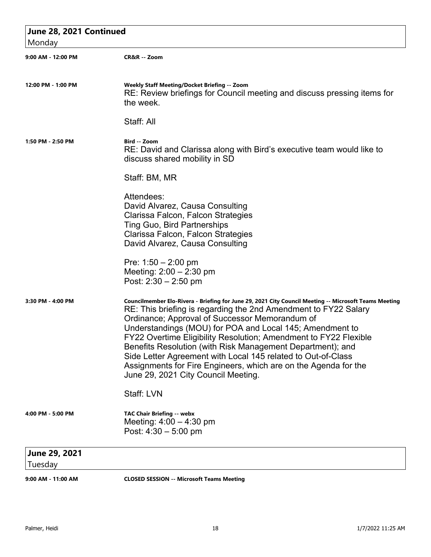| June 28, 2021 Continued  |                                                                                                                                                                                                                                                                                                                                                                                                                                                                                                                                                                                                    |  |
|--------------------------|----------------------------------------------------------------------------------------------------------------------------------------------------------------------------------------------------------------------------------------------------------------------------------------------------------------------------------------------------------------------------------------------------------------------------------------------------------------------------------------------------------------------------------------------------------------------------------------------------|--|
| Monday                   |                                                                                                                                                                                                                                                                                                                                                                                                                                                                                                                                                                                                    |  |
| 9:00 AM - 12:00 PM       | CR&R -- Zoom                                                                                                                                                                                                                                                                                                                                                                                                                                                                                                                                                                                       |  |
| 12:00 PM - 1:00 PM       | Weekly Staff Meeting/Docket Briefing -- Zoom<br>RE: Review briefings for Council meeting and discuss pressing items for<br>the week.                                                                                                                                                                                                                                                                                                                                                                                                                                                               |  |
|                          | Staff: All                                                                                                                                                                                                                                                                                                                                                                                                                                                                                                                                                                                         |  |
| 1:50 PM - 2:50 PM        | Bird -- Zoom<br>RE: David and Clarissa along with Bird's executive team would like to<br>discuss shared mobility in SD                                                                                                                                                                                                                                                                                                                                                                                                                                                                             |  |
|                          | Staff: BM, MR                                                                                                                                                                                                                                                                                                                                                                                                                                                                                                                                                                                      |  |
|                          | Attendees:<br>David Alvarez, Causa Consulting<br>Clarissa Falcon, Falcon Strategies<br><b>Ting Guo, Bird Partnerships</b><br>Clarissa Falcon, Falcon Strategies<br>David Alvarez, Causa Consulting                                                                                                                                                                                                                                                                                                                                                                                                 |  |
|                          | Pre: $1:50 - 2:00$ pm<br>Meeting: $2:00 - 2:30$ pm<br>Post: $2:30 - 2:50$ pm                                                                                                                                                                                                                                                                                                                                                                                                                                                                                                                       |  |
| 3:30 PM - 4:00 PM        | Councilmember Elo-Rivera - Briefing for June 29, 2021 City Council Meeting -- Microsoft Teams Meeting<br>RE: This briefing is regarding the 2nd Amendment to FY22 Salary<br>Ordinance; Approval of Successor Memorandum of<br>Understandings (MOU) for POA and Local 145; Amendment to<br>FY22 Overtime Eligibility Resolution; Amendment to FY22 Flexible<br>Benefits Resolution (with Risk Management Department); and<br>Side Letter Agreement with Local 145 related to Out-of-Class<br>Assignments for Fire Engineers, which are on the Agenda for the<br>June 29, 2021 City Council Meeting. |  |
|                          | Staff: LVN                                                                                                                                                                                                                                                                                                                                                                                                                                                                                                                                                                                         |  |
| 4:00 PM - 5:00 PM        | <b>TAC Chair Briefing -- webx</b><br>Meeting: $4:00 - 4:30$ pm<br>Post: $4:30 - 5:00$ pm                                                                                                                                                                                                                                                                                                                                                                                                                                                                                                           |  |
| June 29, 2021<br>Tuesday |                                                                                                                                                                                                                                                                                                                                                                                                                                                                                                                                                                                                    |  |
| 9:00 AM - 11:00 AM       | <b>CLOSED SESSION -- Microsoft Teams Meeting</b>                                                                                                                                                                                                                                                                                                                                                                                                                                                                                                                                                   |  |